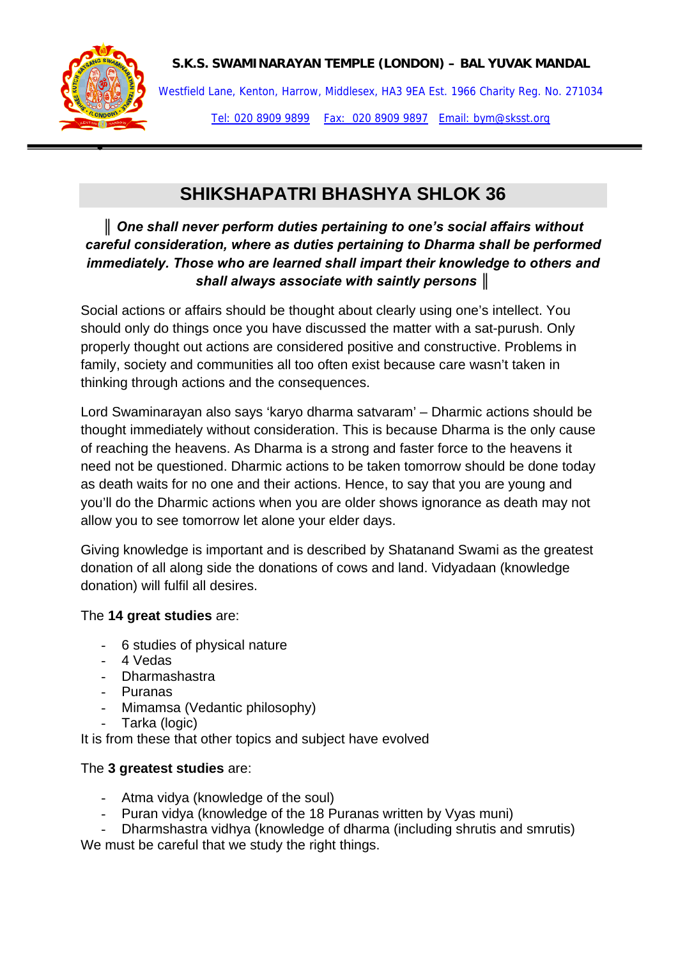



•

Westfield Lane, Kenton, Harrow, Middlesex, HA3 9EA Est. 1966 Charity Reg. No. 271034 Tel: 020 8909 9899 Fax: 020 8909 9897 Email: bym@sksst.org

# **SHIKSHAPATRI BHASHYA SHLOK 36**

## *║ One shall never perform duties pertaining to one's social affairs without careful consideration, where as duties pertaining to Dharma shall be performed immediately. Those who are learned shall impart their knowledge to others and shall always associate with saintly persons ║*

Social actions or affairs should be thought about clearly using one's intellect. You should only do things once you have discussed the matter with a sat-purush. Only properly thought out actions are considered positive and constructive. Problems in family, society and communities all too often exist because care wasn't taken in thinking through actions and the consequences.

Lord Swaminarayan also says 'karyo dharma satvaram' – Dharmic actions should be thought immediately without consideration. This is because Dharma is the only cause of reaching the heavens. As Dharma is a strong and faster force to the heavens it need not be questioned. Dharmic actions to be taken tomorrow should be done today as death waits for no one and their actions. Hence, to say that you are young and you'll do the Dharmic actions when you are older shows ignorance as death may not allow you to see tomorrow let alone your elder days.

Giving knowledge is important and is described by Shatanand Swami as the greatest donation of all along side the donations of cows and land. Vidyadaan (knowledge donation) will fulfil all desires.

### The **14 great studies** are:

- 6 studies of physical nature
- 4 Vedas
- Dharmashastra
- Puranas
- Mimamsa (Vedantic philosophy)
- Tarka (logic)

It is from these that other topics and subject have evolved

## The **3 greatest studies** are:

- Atma vidya (knowledge of the soul)
- Puran vidya (knowledge of the 18 Puranas written by Vyas muni)
- Dharmshastra vidhya (knowledge of dharma (including shrutis and smrutis)

We must be careful that we study the right things.